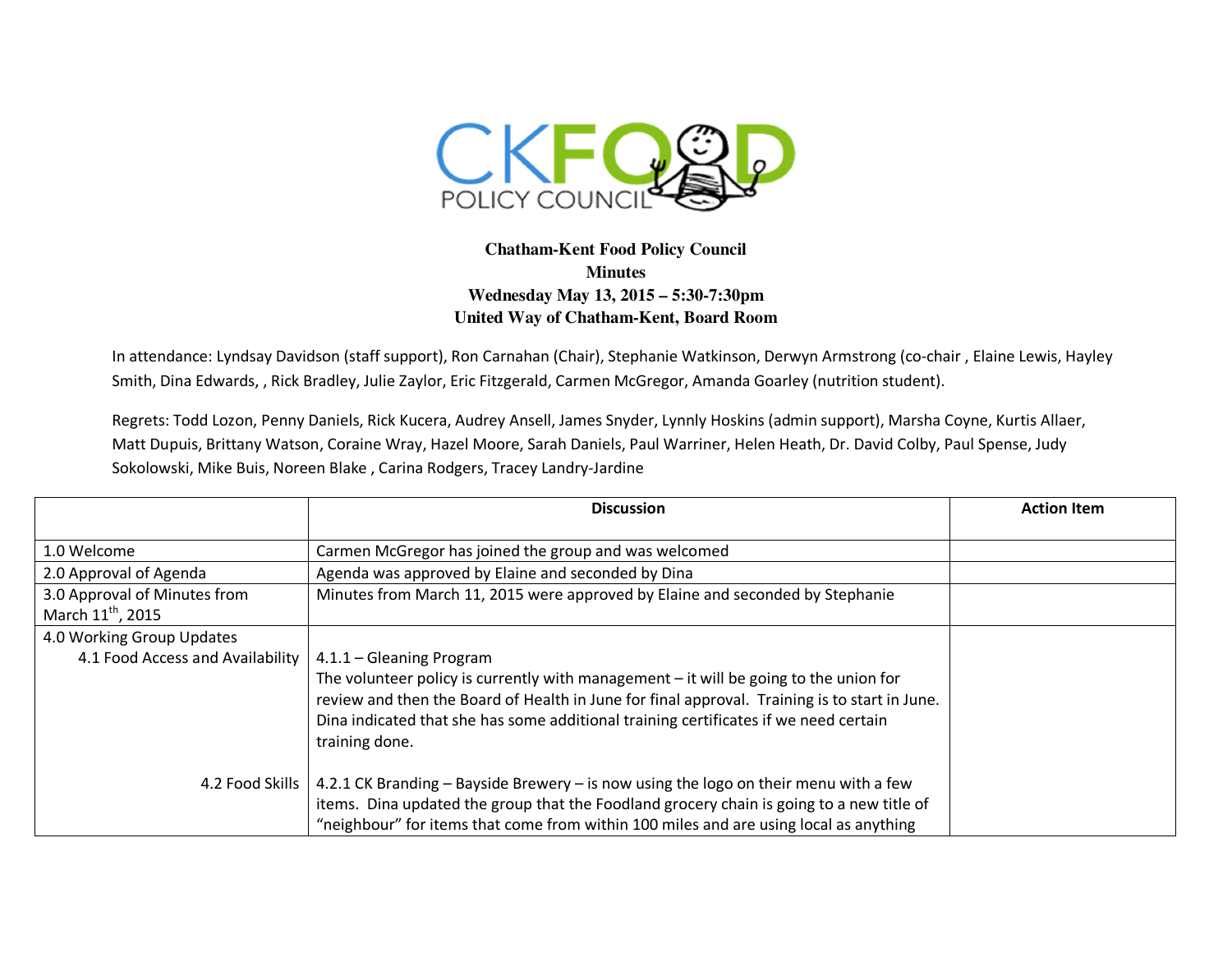

## **Chatham-Kent Food Policy Council Minutes Wednesday May 13, 2015 – 5:30-7:30pm United Way of Chatham-Kent, Board Room**

In attendance: Lyndsay Davidson (staff support), Ron Carnahan (Chair), Stephanie Watkinson, Derwyn Armstrong (co-chair , Elaine Lewis, Hayley Smith, Dina Edwards, , Rick Bradley, Julie Zaylor, Eric Fitzgerald, Carmen McGregor, Amanda Goarley (nutrition student).

Regrets: Todd Lozon, Penny Daniels, Rick Kucera, Audrey Ansell, James Snyder, Lynnly Hoskins (admin support), Marsha Coyne, Kurtis Allaer, Matt Dupuis, Brittany Watson, Coraine Wray, Hazel Moore, Sarah Daniels, Paul Warriner, Helen Heath, Dr. David Colby, Paul Spense, Judy Sokolowski, Mike Buis, Noreen Blake , Carina Rodgers, Tracey Landry-Jardine

|                                  | <b>Discussion</b>                                                                                                                                                                                                                                                                                                              | <b>Action Item</b> |
|----------------------------------|--------------------------------------------------------------------------------------------------------------------------------------------------------------------------------------------------------------------------------------------------------------------------------------------------------------------------------|--------------------|
|                                  |                                                                                                                                                                                                                                                                                                                                |                    |
| 1.0 Welcome                      | Carmen McGregor has joined the group and was welcomed                                                                                                                                                                                                                                                                          |                    |
| 2.0 Approval of Agenda           | Agenda was approved by Elaine and seconded by Dina                                                                                                                                                                                                                                                                             |                    |
| 3.0 Approval of Minutes from     | Minutes from March 11, 2015 were approved by Elaine and seconded by Stephanie                                                                                                                                                                                                                                                  |                    |
| March 11 <sup>th</sup> , 2015    |                                                                                                                                                                                                                                                                                                                                |                    |
| 4.0 Working Group Updates        |                                                                                                                                                                                                                                                                                                                                |                    |
| 4.1 Food Access and Availability | 4.1.1 - Gleaning Program<br>The volunteer policy is currently with management $-$ it will be going to the union for<br>review and then the Board of Health in June for final approval. Training is to start in June.<br>Dina indicated that she has some additional training certificates if we need certain<br>training done. |                    |
| 4.2 Food Skills                  | 4.2.1 CK Branding - Bayside Brewery - is now using the logo on their menu with a few<br>items. Dina updated the group that the Foodland grocery chain is going to a new title of<br>"neighbour" for items that come from within 100 miles and are using local as anything                                                      |                    |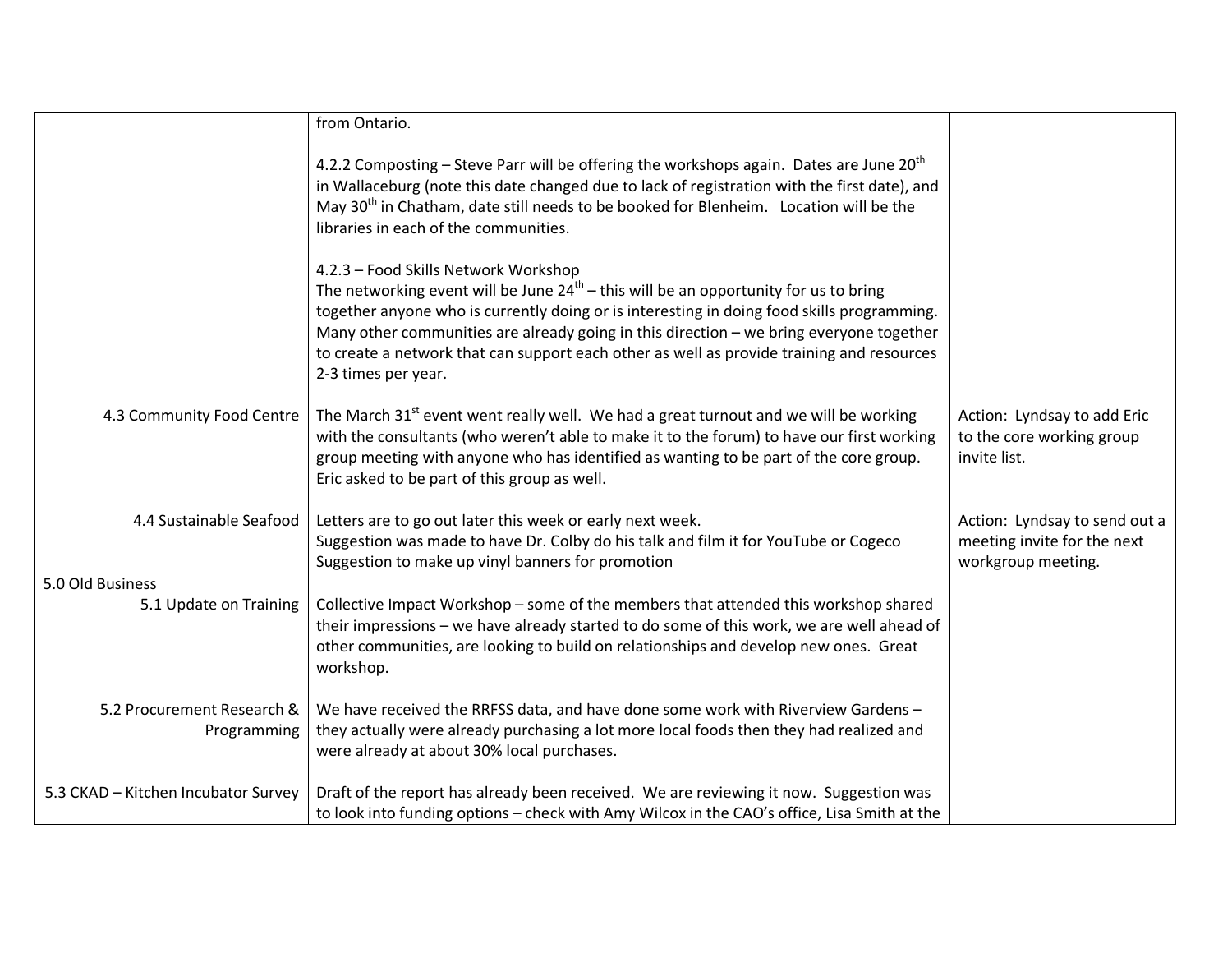|                                           | from Ontario.                                                                                                                                                                                                                                                                                                                                                                                                                                  |                                                                                    |
|-------------------------------------------|------------------------------------------------------------------------------------------------------------------------------------------------------------------------------------------------------------------------------------------------------------------------------------------------------------------------------------------------------------------------------------------------------------------------------------------------|------------------------------------------------------------------------------------|
|                                           | 4.2.2 Composting – Steve Parr will be offering the workshops again. Dates are June $20th$<br>in Wallaceburg (note this date changed due to lack of registration with the first date), and<br>May 30 <sup>th</sup> in Chatham, date still needs to be booked for Blenheim. Location will be the<br>libraries in each of the communities.                                                                                                        |                                                                                    |
|                                           | 4.2.3 - Food Skills Network Workshop<br>The networking event will be June $24^{th}$ – this will be an opportunity for us to bring<br>together anyone who is currently doing or is interesting in doing food skills programming.<br>Many other communities are already going in this direction - we bring everyone together<br>to create a network that can support each other as well as provide training and resources<br>2-3 times per year. |                                                                                    |
| 4.3 Community Food Centre                 | The March 31 <sup>st</sup> event went really well. We had a great turnout and we will be working<br>with the consultants (who weren't able to make it to the forum) to have our first working<br>group meeting with anyone who has identified as wanting to be part of the core group.<br>Eric asked to be part of this group as well.                                                                                                         | Action: Lyndsay to add Eric<br>to the core working group<br>invite list.           |
| 4.4 Sustainable Seafood                   | Letters are to go out later this week or early next week.<br>Suggestion was made to have Dr. Colby do his talk and film it for YouTube or Cogeco<br>Suggestion to make up vinyl banners for promotion                                                                                                                                                                                                                                          | Action: Lyndsay to send out a<br>meeting invite for the next<br>workgroup meeting. |
| 5.0 Old Business                          |                                                                                                                                                                                                                                                                                                                                                                                                                                                |                                                                                    |
| 5.1 Update on Training                    | Collective Impact Workshop - some of the members that attended this workshop shared<br>their impressions - we have already started to do some of this work, we are well ahead of<br>other communities, are looking to build on relationships and develop new ones. Great<br>workshop.                                                                                                                                                          |                                                                                    |
| 5.2 Procurement Research &<br>Programming | We have received the RRFSS data, and have done some work with Riverview Gardens -<br>they actually were already purchasing a lot more local foods then they had realized and<br>were already at about 30% local purchases.                                                                                                                                                                                                                     |                                                                                    |
| 5.3 CKAD - Kitchen Incubator Survey       | Draft of the report has already been received. We are reviewing it now. Suggestion was<br>to look into funding options - check with Amy Wilcox in the CAO's office, Lisa Smith at the                                                                                                                                                                                                                                                          |                                                                                    |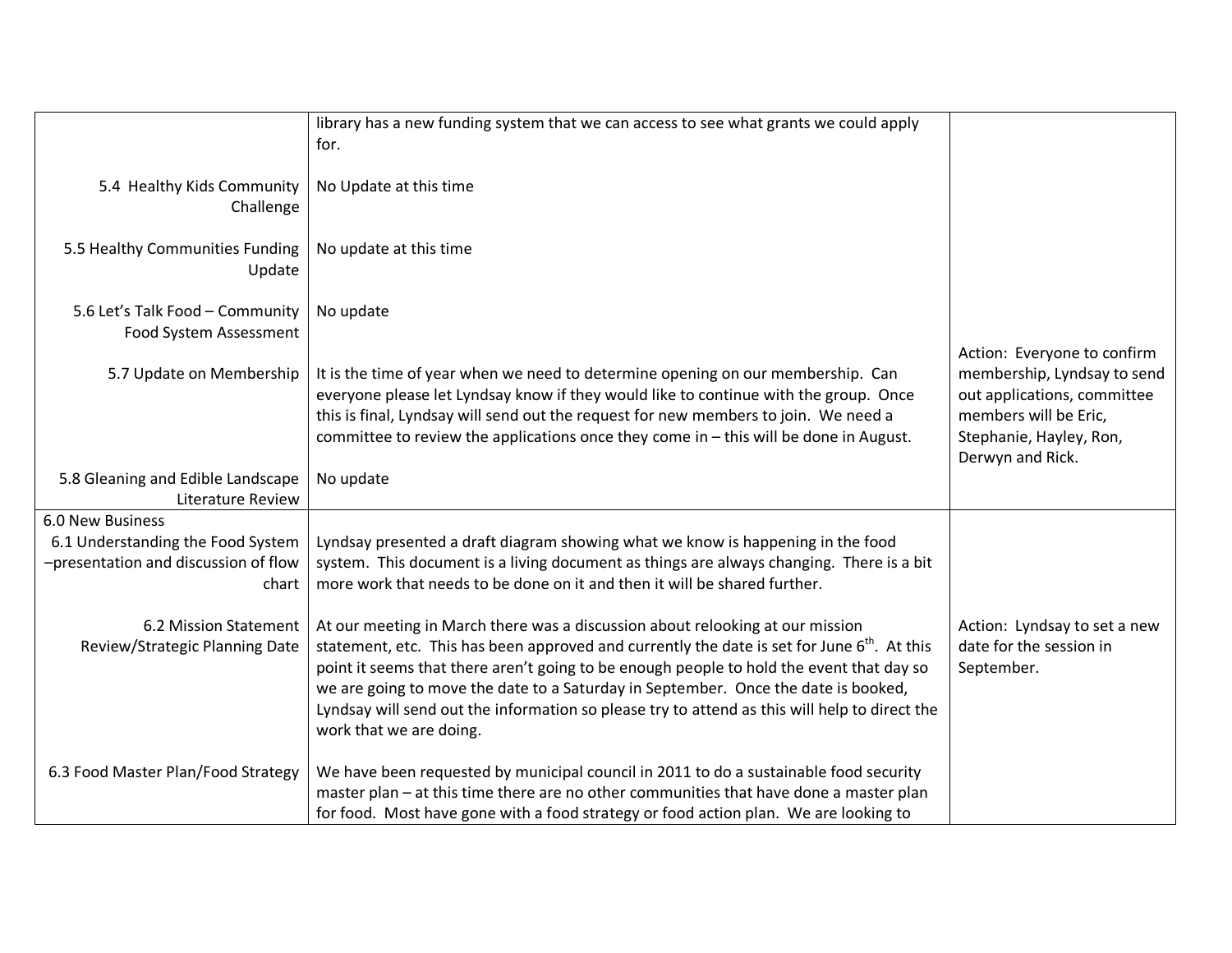|                                                                                    | library has a new funding system that we can access to see what grants we could apply<br>for.                                                                                                                                                                                                                                                                                                                                                                                                          |                                                                                                                                                                   |
|------------------------------------------------------------------------------------|--------------------------------------------------------------------------------------------------------------------------------------------------------------------------------------------------------------------------------------------------------------------------------------------------------------------------------------------------------------------------------------------------------------------------------------------------------------------------------------------------------|-------------------------------------------------------------------------------------------------------------------------------------------------------------------|
| 5.4 Healthy Kids Community<br>Challenge                                            | No Update at this time                                                                                                                                                                                                                                                                                                                                                                                                                                                                                 |                                                                                                                                                                   |
| 5.5 Healthy Communities Funding<br>Update                                          | No update at this time                                                                                                                                                                                                                                                                                                                                                                                                                                                                                 |                                                                                                                                                                   |
| 5.6 Let's Talk Food - Community<br>Food System Assessment                          | No update                                                                                                                                                                                                                                                                                                                                                                                                                                                                                              |                                                                                                                                                                   |
| 5.7 Update on Membership                                                           | It is the time of year when we need to determine opening on our membership. Can<br>everyone please let Lyndsay know if they would like to continue with the group. Once<br>this is final, Lyndsay will send out the request for new members to join. We need a<br>committee to review the applications once they come in - this will be done in August.                                                                                                                                                | Action: Everyone to confirm<br>membership, Lyndsay to send<br>out applications, committee<br>members will be Eric,<br>Stephanie, Hayley, Ron,<br>Derwyn and Rick. |
| 5.8 Gleaning and Edible Landscape<br><b>Literature Review</b>                      | No update                                                                                                                                                                                                                                                                                                                                                                                                                                                                                              |                                                                                                                                                                   |
| 6.0 New Business                                                                   |                                                                                                                                                                                                                                                                                                                                                                                                                                                                                                        |                                                                                                                                                                   |
| 6.1 Understanding the Food System<br>-presentation and discussion of flow<br>chart | Lyndsay presented a draft diagram showing what we know is happening in the food<br>system. This document is a living document as things are always changing. There is a bit<br>more work that needs to be done on it and then it will be shared further.                                                                                                                                                                                                                                               |                                                                                                                                                                   |
| 6.2 Mission Statement<br>Review/Strategic Planning Date                            | At our meeting in March there was a discussion about relooking at our mission<br>statement, etc. This has been approved and currently the date is set for June 6 <sup>th</sup> . At this<br>point it seems that there aren't going to be enough people to hold the event that day so<br>we are going to move the date to a Saturday in September. Once the date is booked,<br>Lyndsay will send out the information so please try to attend as this will help to direct the<br>work that we are doing. | Action: Lyndsay to set a new<br>date for the session in<br>September.                                                                                             |
| 6.3 Food Master Plan/Food Strategy                                                 | We have been requested by municipal council in 2011 to do a sustainable food security<br>master plan - at this time there are no other communities that have done a master plan<br>for food. Most have gone with a food strategy or food action plan. We are looking to                                                                                                                                                                                                                                |                                                                                                                                                                   |